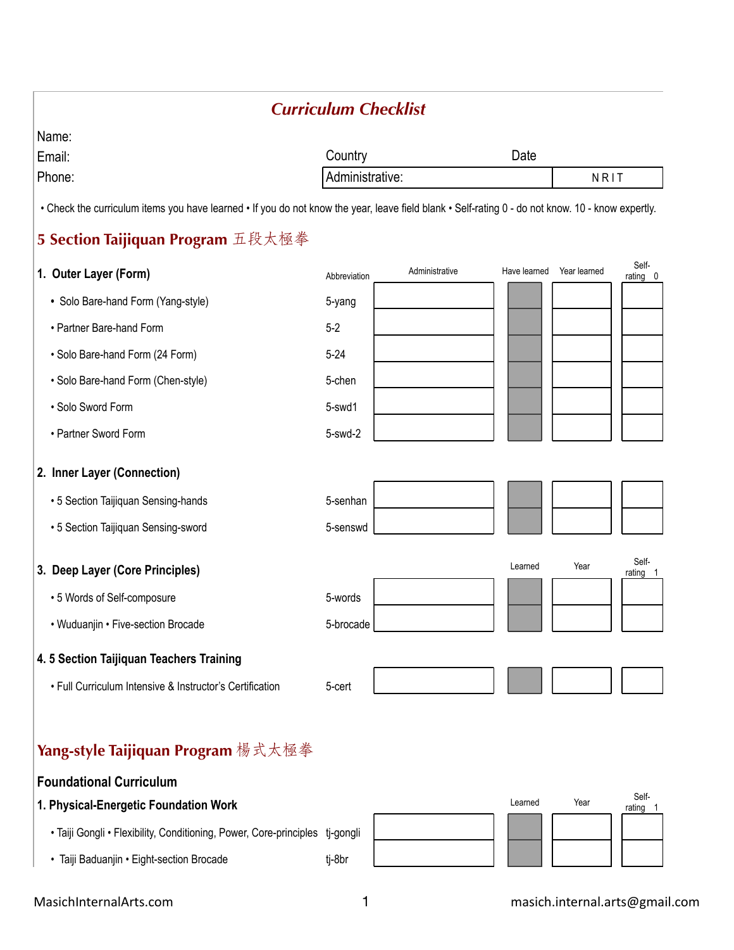# *Curriculum Checklist*

Name:

| Email: | <b>Country</b>   | Date |         |
|--------|------------------|------|---------|
| Phone: | 'Administrative: |      | $N$ RIT |

• Check the curriculum items you have learned • If you do not know the year, leave field blank • Self-rating 0 - do not know. 10 - know expertly.

## **5 Section Taijiquan Program** 五段太極拳

| 1. Outer Layer (Form)                                    | Abbreviation | Administrative | Have learned | Year learned | Self-<br>rating 0 |
|----------------------------------------------------------|--------------|----------------|--------------|--------------|-------------------|
| • Solo Bare-hand Form (Yang-style)                       | 5-yang       |                |              |              |                   |
| • Partner Bare-hand Form                                 | $5-2$        |                |              |              |                   |
| · Solo Bare-hand Form (24 Form)                          | $5 - 24$     |                |              |              |                   |
| · Solo Bare-hand Form (Chen-style)                       | 5-chen       |                |              |              |                   |
| · Solo Sword Form                                        | 5-swd1       |                |              |              |                   |
| • Partner Sword Form                                     | 5-swd-2      |                |              |              |                   |
| 2. Inner Layer (Connection)                              |              |                |              |              |                   |
| • 5 Section Taijiquan Sensing-hands                      | 5-senhan     |                |              |              |                   |
| • 5 Section Taijiquan Sensing-sword                      | 5-senswd     |                |              |              |                   |
| 3. Deep Layer (Core Principles)                          |              |                | Learned      | Year         | Self-<br>rating 1 |
| • 5 Words of Self-composure                              | 5-words      |                |              |              |                   |
| • Wuduanjin • Five-section Brocade                       | 5-brocade    |                |              |              |                   |
| 4.5 Section Taijiquan Teachers Training                  |              |                |              |              |                   |
| • Full Curriculum Intensive & Instructor's Certification | 5-cert       |                |              |              |                   |
|                                                          |              |                |              |              |                   |
| $1 \text{ H}$ by $1 \text{ H}$ $1 \rightarrow 1$         |              |                |              |              |                   |

## **Yang-style Taijiquan Program** 楊式太極拳

#### **Foundational Curriculum**

- - Taiji Gongli Flexibility, Conditioning, Power, Core-principles tj-gongli

• Taiji Baduanjin • Eight-section Brocade tj-8br

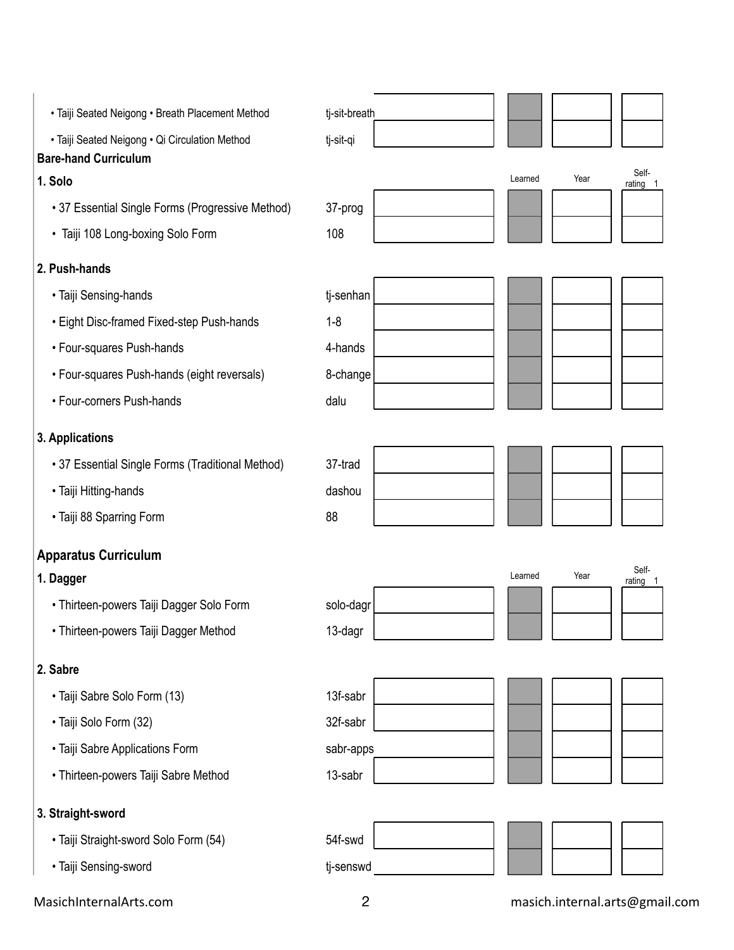| · Taiji Seated Neigong · Breath Placement Method | tj-sit-breath |         |      |                   |
|--------------------------------------------------|---------------|---------|------|-------------------|
| · Taiji Seated Neigong · Qi Circulation Method   | tj-sit-qi     |         |      |                   |
| <b>Bare-hand Curriculum</b>                      |               |         |      | Self-             |
| 1. Solo                                          |               | Learned | Year | rating 1          |
| • 37 Essential Single Forms (Progressive Method) | 37-prog       |         |      |                   |
| • Taiji 108 Long-boxing Solo Form                | 108           |         |      |                   |
| 2. Push-hands                                    |               |         |      |                   |
| • Taiji Sensing-hands                            | tj-senhan     |         |      |                   |
| • Eight Disc-framed Fixed-step Push-hands        | $1 - 8$       |         |      |                   |
| • Four-squares Push-hands                        | 4-hands       |         |      |                   |
| • Four-squares Push-hands (eight reversals)      | 8-change      |         |      |                   |
| • Four-corners Push-hands                        | dalu          |         |      |                   |
| 3. Applications                                  |               |         |      |                   |
| • 37 Essential Single Forms (Traditional Method) | 37-trad       |         |      |                   |
| • Taiji Hitting-hands                            | dashou        |         |      |                   |
| · Taiji 88 Sparring Form                         | 88            |         |      |                   |
| <b>Apparatus Curriculum</b>                      |               |         |      |                   |
| 1. Dagger                                        |               | Learned | Year | Self-<br>rating 1 |
| • Thirteen-powers Taiji Dagger Solo Form         | solo-dagr     |         |      |                   |
| • Thirteen-powers Taiji Dagger Method            | 13-dagr       |         |      |                   |
| 2. Sabre                                         |               |         |      |                   |
| • Taiji Sabre Solo Form (13)                     | 13f-sabr      |         |      |                   |
| · Taiji Solo Form (32)                           | 32f-sabr      |         |      |                   |
| • Taiji Sabre Applications Form                  | sabr-apps     |         |      |                   |
| • Thirteen-powers Taiji Sabre Method             | 13-sabr       |         |      |                   |
| 3. Straight-sword                                |               |         |      |                   |
| · Taiji Straight-sword Solo Form (54)            | 54f-swd       |         |      |                   |
| • Taiji Sensing-sword                            | tj-senswd     |         |      |                   |
|                                                  |               |         |      |                   |

### MasichInternalArts.com 2 masich.internal.arts@gmail.com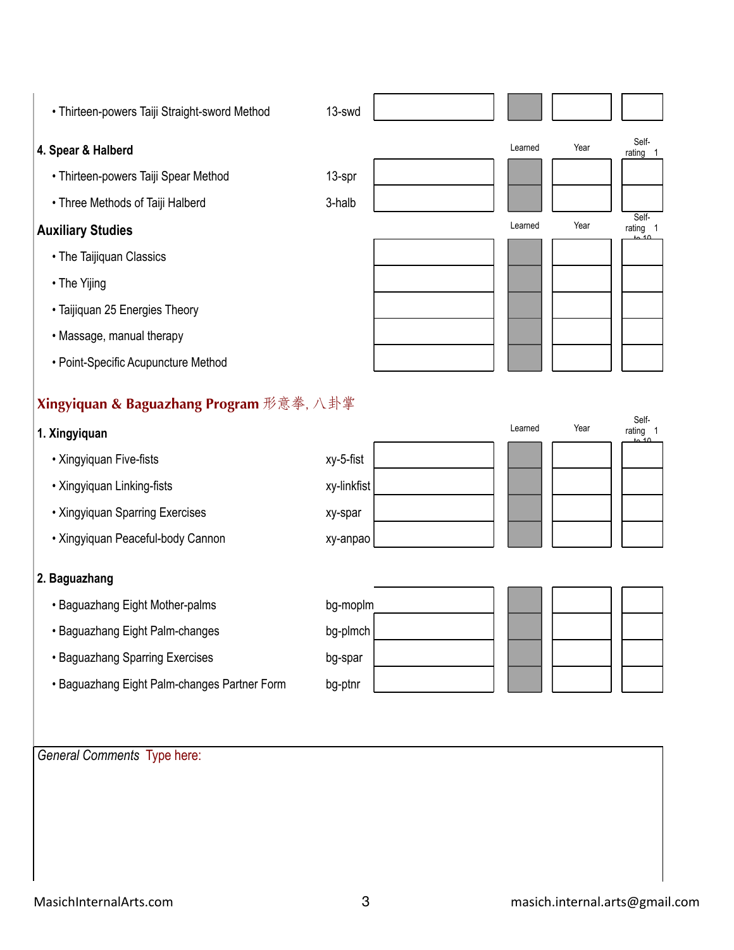

#### **Xingyiquan & Baguazhang Program** 形意拳, 八卦掌

### **1. Xingyiquan** Year

- Xingyiquan Five-fists **xy-5-fist**
- Xingyiquan Linking-fists **xy-linkfist**
- Xingyiquan Sparring Exercises **xy-spar**
- Xingyiquan Peaceful-body Cannon variable xy-anpao

#### **2. Baguazhang**

- Baguazhang Eight Mother-palms bg-moplm
- Baguazhang Eight Palm-changes bg-plmch
- Baguazhang Sparring Exercises bg-spar
- Baguazhang Eight Palm-changes Partner Form bg-ptnr





Selfrating 1 to 10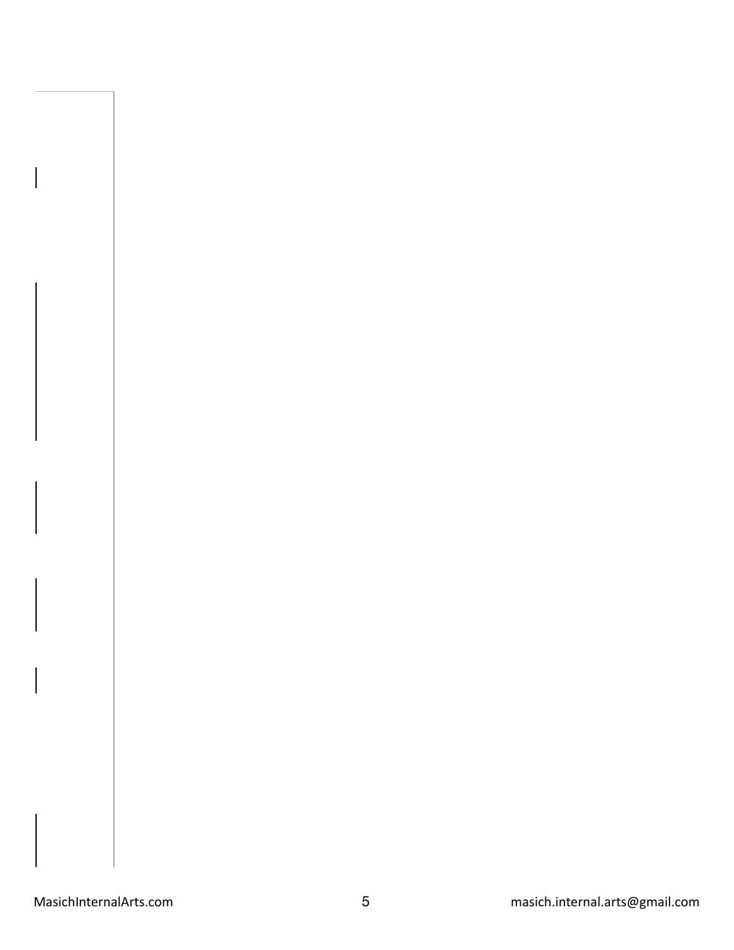$\overline{\phantom{a}}$ 

 $\overline{\phantom{a}}$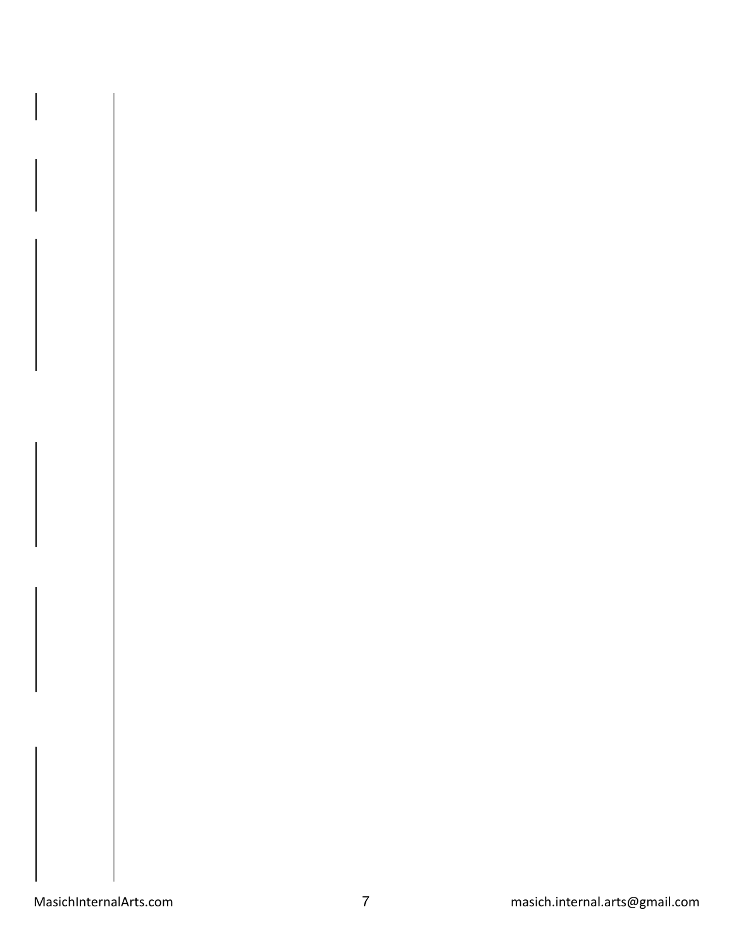$\overline{\phantom{a}}$